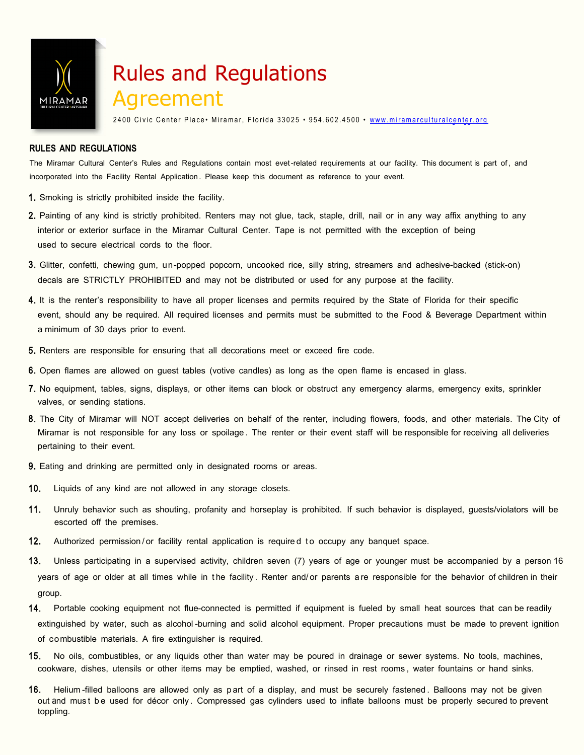

## Rules and Regulations Agreement

2400 Civic Center Place • Miramar, Florida 33025 • 954.602.4500 • www.miramarculturalcenter.org

#### **RULES AND REGULATIONS**

The Miramar Cultural Center's Rules and Regulations contain most evet-related requirements at our facility. This document is part of , and incorporated into the Facility Rental Application . Please keep this document as reference to your event.

- 1. Smoking is strictly prohibited inside the facility.
- 2. Painting of any kind is strictly prohibited. Renters may not glue, tack, staple, drill, nail or in any way affix anything to any interior or exterior surface in the Miramar Cultural Center. Tape is not permitted with the exception of being used to secure electrical cords to the floor.
- 3. Glitter, confetti, chewing gum, un-popped popcorn, uncooked rice, silly string, streamers and adhesive-backed (stick-on) decals are STRICTLY PROHIBITED and may not be distributed or used for any purpose at the facility.
- 4. It is the renter's responsibility to have all proper licenses and permits required by the State of Florida for their specific event, should any be required. All required licenses and permits must be submitted to the Food & Beverage Department within a minimum of 30 days prior to event.
- 5. Renters are responsible for ensuring that all decorations meet or exceed fire code.
- 6. Open flames are allowed on guest tables (votive candles) as long as the open flame is encased in glass.
- 7. No equipment, tables, signs, displays, or other items can block or obstruct any emergency alarms, emergency exits, sprinkler valves, or sending stations.
- 8. The City of Miramar will NOT accept deliveries on behalf of the renter, including flowers, foods, and other materials. The City of Miramar is not responsible for any loss or spoilage . The renter or their event staff will be responsible for receiving all deliveries pertaining to their event.
- 9. Eating and drinking are permitted only in designated rooms or areas.
- 10. Liquids of any kind are not allowed in any storage closets.
- 11. Unruly behavior such as shouting, profanity and horseplay is prohibited. If such behavior is displayed, guests/violators will be escorted off the premises.
- 12. Authorized permission/or facility rental application is required to occupy any banquet space.
- 13. Unless participating in a supervised activity, children seven (7) years of age or younger must be accompanied by a person 16 years of age or older at all times while in the facility. Renter and/ or parents are responsible for the behavior of children in their group.
- 14. Portable cooking equipment not flue-connected is permitted if equipment is fueled by small heat sources that can be readily extinguished by water, such as alcohol -burning and solid alcohol equipment. Proper precautions must be made to prevent ignition of combustible materials. A fire extinguisher is required.
- 15. No oils, combustibles, or any liquids other than water may be poured in drainage or sewer systems. No tools, machines, cookware, dishes, utensils or other items may be emptied, washed, or rinsed in rest rooms , water fountains or hand sinks.
- 16. Helium -filled balloons are allowed only as p art of a display, and must be securely fastened . Balloons may not be given out and must be used for décor only. Compressed gas cylinders used to inflate balloons must be properly secured to prevent toppling.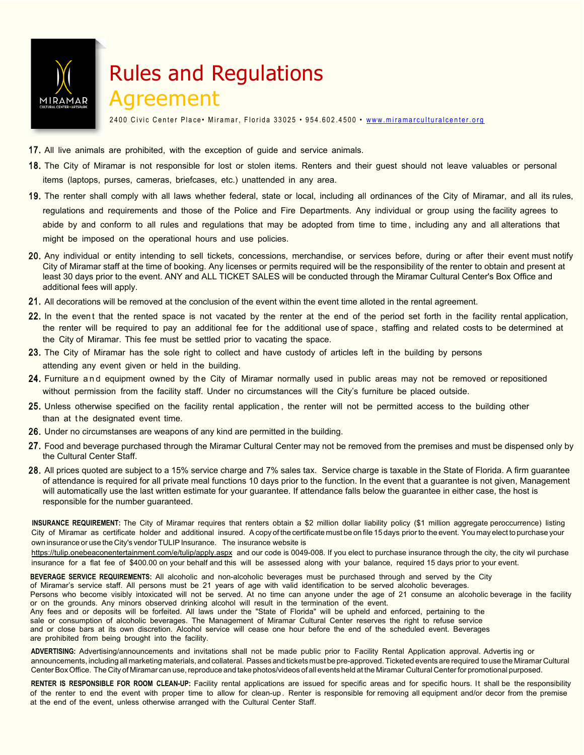

## Rules and Regulations

### Agreement

2400 Civic Center Place • Miramar, Florida 33025 • 954.602.4500 • www.miramarculturalcenter.org

- 17. All live animals are prohibited, with the exception of guide and service animals.
- 18. The City of Miramar is not responsible for lost or stolen items. Renters and their guest should not leave valuables or personal items (laptops, purses, cameras, briefcases, etc.) unattended in any area.
- 19. The renter shall comply with all laws whether federal, state or local, including all ordinances of the City of Miramar, and all its rules, regulations and requirements and those of the Police and Fire Departments. Any individual or group using the facility agrees to abide by and conform to all rules and regulations that may be adopted from time to time , including any and all alterations that might be imposed on the operational hours and use policies.
- 20. Any individual or entity intending to sell tickets, concessions, merchandise, or services before, during or after their event must notify City of Miramar staff at the time of booking. Any licenses or permits required will be the responsibility of the renter to obtain and present at least 30 days prior to the event. ANY and ALL TICKET SALES will be conducted through the Miramar Cultural Center's Box Office and additional fees will apply.
- 21. All decorations will be removed at the conclusion of the event within the event time alloted in the rental agreement.
- 22. In the event that the rented space is not vacated by the renter at the end of the period set forth in the facility rental application, the renter will be required to pay an additional fee for the additional use of space, staffing and related costs to be determined at the City of Miramar. This fee must be settled prior to vacating the space.
- 23. The City of Miramar has the sole right to collect and have custody of articles left in the building by persons attending any event given or held in the building.
- 24. Furniture and equipment owned by the City of Miramar normally used in public areas may not be removed or repositioned without permission from the facility staff. Under no circumstances will the City's furniture be placed outside.
- 25. Unless otherwise specified on the facility rental application , the renter will not be permitted access to the building other than at the designated event time.
- 26. Under no circumstanses are weapons of any kind are permitted in the building.
- 27. Food and beverage purchased through the Miramar Cultural Center may not be removed from the premises and must be dispensed only by the Cultural Center Staff.
- 28. All prices quoted are subject to a 15% service charge and 7% sales tax. Service charge is taxable in the State of Florida. A firm guarantee of attendance is required for all private meal functions 10 days prior to the function. In the event that a guarantee is not given, Management will automatically use the last written estimate for your guarantee. If attendance falls below the guarantee in either case, the host is responsible for the number guaranteed.

**INSURANCE REQUIREMENT:** The City of [Miramar requires that rent](http://www.ebi-ins.com/e/tulip)ers obtain a \$2 million dollar liability policy (\$1 million aggregate peroccurrence) listing City of Miramar as certificate holder and additional insured. A copy of the certificate must be on file 15 days prior to the event. You may elect to purchase your own insurance or use the City's vendor TULIP Insurance. The insurance website is

https://tulip.onebeaconentertainment.com/e/tulip/apply.aspx and our code is 0049-008. If you elect to purchase insurance through the city, the city wil purchase insurance for a flat fee of \$400.00 on your behalf and this will be assessed along with your balance, required 15 days prior to your event.

**BEVERAGE SERVICE REQUIREMENTS:** All alcoholic and non-alcoholic beverages must be purchased through and served by the City of Miramar's service staff. All persons must be 21 years of age with valid identification to be served alcoholic beverages. Persons who become visibly intoxicated will not be served. At no time can anyone under the age of 21 consume an alcoholic beverage in the facility or on the grounds. Any minors observed drinking alcohol will result in the termination of the event. Any fees and or deposits will be forfeited. All laws under the "State of Florida" will be upheld and enforced, pertaining to the sale or consumption of alcoholic beverages. The Management of Miramar Cultural Center reserves the right to refuse service and or close bars at its own discretion. Alcohol service will cease one hour before the end of the scheduled event. Beverages are prohibited from being brought into the facility.

**ADVERTISING:** Advertising/announcements and invitations shall not be made public prior to Facility Rental Application approval. Advertis ing or announcements, including all marketing materials, and collateral. Passes and tickets must be pre-approved. Ticketed events are required to use the Miramar Cultural Center Box Office. The City of Miramar can use, reproduce and take photos/videos of all events held at the Miramar Cultural Center for promotional purposed.

RENTER IS RESPONSIBLE FOR ROOM CLEAN-UP: Facility rental applications are issued for specific areas and for specific hours. It shall be the responsibility of the renter to end the event with proper time to allow for clean-up . Renter is responsible for removing all equipment and/or decor from the premise at the end of the event, unless otherwise arranged with the Cultural Center Staff.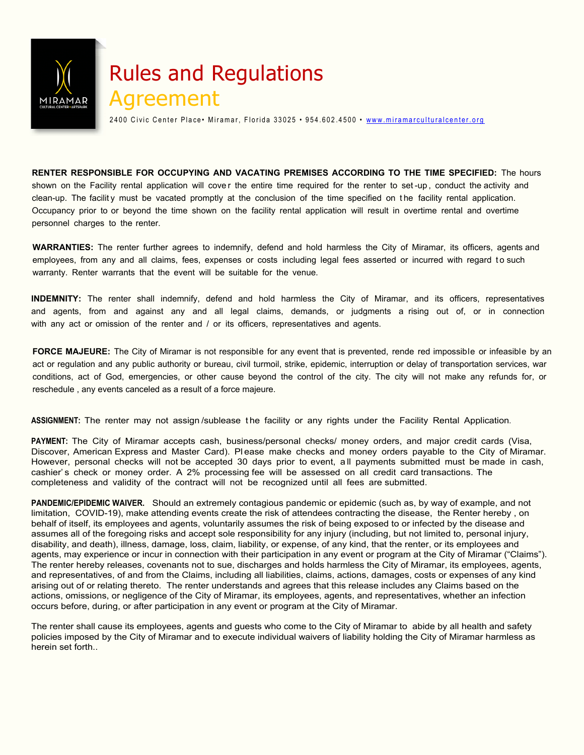

# Rules and Regulations

2400 Civic Center Place • Miramar, Florida 33025 • 954.602.4500 • www.miramarculturalcenter.org

**RENTER RESPONSIBLE FOR OCCUPYING AND VACATING PREMISES ACCORDING TO THE TIME SPECIFIED:** The hours shown on the Facility rental application will cover the entire time required for the renter to set-up, conduct the activity and clean-up. The facility must be vacated promptly at the conclusion of the time specified on the facility rental application. Occupancy prior to or beyond the time shown on the facility rental application will result in overtime rental and overtime personnel charges to the renter.

**WARRANTIES:** The renter further agrees to indemnify, defend and hold harmless the City of Miramar, its officers, agents and employees, from any and all claims, fees, expenses or costs including legal fees asserted or incurred with regard to such warranty. Renter warrants that the event will be suitable for the venue.

**INDEMNITY:** The renter shall indemnify, defend and hold harmless the City of Miramar, and its officers, representatives and agents, from and against any and all legal claims, demands, or judgments a rising out of, or in connection with any act or omission of the renter and / or its officers, representatives and agents.

**FORCE MAJEURE:** The City of Miramar is not responsible for any event that is prevented, rende red impossible or infeasible by an act or regulation and any public authority or bureau, civil turmoil, strike, epidemic, interruption or delay of transportation services, war conditions, act of God, emergencies, or other cause beyond the control of the city. The city will not make any refunds for, or reschedule , any events canceled as a result of a force majeure.

**ASSIGNMENT:** The renter may not assign /sublease t he facility or any rights under the Facility Rental Application.

**PAYMENT:** The City of Miramar accepts cash, business/personal checks/ money orders, and major credit cards (Visa, Discover, American Express and Master Card). Pl ease make checks and money orders payable to the City of Miramar. However, personal checks will not be accepted 30 days prior to event, a ll payments submitted must be made in cash, cashier' s check or money order. A 2% processing fee will be assessed on all credit card transactions. The completeness and validity of the contract will not be recognized until all fees are submitted.

**PANDEMIC/EPIDEMIC WAIVER.** Should an extremely contagious pandemic or epidemic (such as, by way of example, and not limitation, COVID-19), make attending events create the risk of attendees contracting the disease, the Renter hereby , on behalf of itself, its employees and agents, voluntarily assumes the risk of being exposed to or infected by the disease and assumes all of the foregoing risks and accept sole responsibility for any injury (including, but not limited to, personal injury, disability, and death), illness, damage, loss, claim, liability, or expense, of any kind, that the renter, or its employees and agents, may experience or incur in connection with their participation in any event or program at the City of Miramar ("Claims"). The renter hereby releases, covenants not to sue, discharges and holds harmless the City of Miramar, its employees, agents, and representatives, of and from the Claims, including all liabilities, claims, actions, damages, costs or expenses of any kind arising out of or relating thereto. The renter understands and agrees that this release includes any Claims based on the actions, omissions, or negligence of the City of Miramar, its employees, agents, and representatives, whether an infection occurs before, during, or after participation in any event or program at the City of Miramar.

The renter shall cause its employees, agents and guests who come to the City of Miramar to abide by all health and safety policies imposed by the City of Miramar and to execute individual waivers of liability holding the City of Miramar harmless as herein set forth..